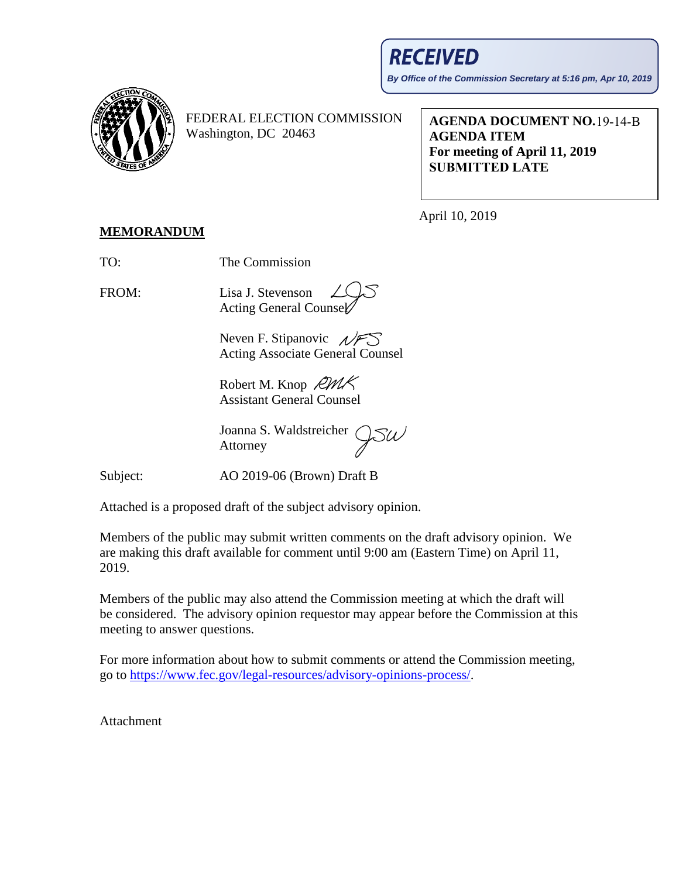## **RECEIVED**

**By Office of the Commission Secretary at 5:16 pm, Apr 10, 2019**



FEDERAL ELECTION COMMISSION Washington, DC 20463

**AGENDA DOCUMENT NO.**  19-14-B **AGENDA ITEM For meeting of April 11, 2019 SUBMITTED LATE** 

April 10, 2019

## **MEMORANDUM**

TO: The Commission

FROM: Lisa J. Stevenson Acting General Counsel

> Neven F. Stipanovic  $\sqrt{FS}$ Acting Associate General Counsel

Robert M. Knop RMK Assistant General Counsel

Joanna S. Waldstreicher Attorney

Subject: AO 2019-06 (Brown) Draft B

Attached is a proposed draft of the subject advisory opinion.

Members of the public may submit written comments on the draft advisory opinion. We are making this draft available for comment until 9:00 am (Eastern Time) on April 11, 2019.

Members of the public may also attend the Commission meeting at which the draft will be considered. The advisory opinion requestor may appear before the Commission at this meeting to answer questions.

For more information about how to submit comments or attend the Commission meeting, go to [https://www.fec.gov/legal-resources/advisory-opinions-process/.](https://www.fec.gov/legal-resources/advisory-opinions-process/)

Attachment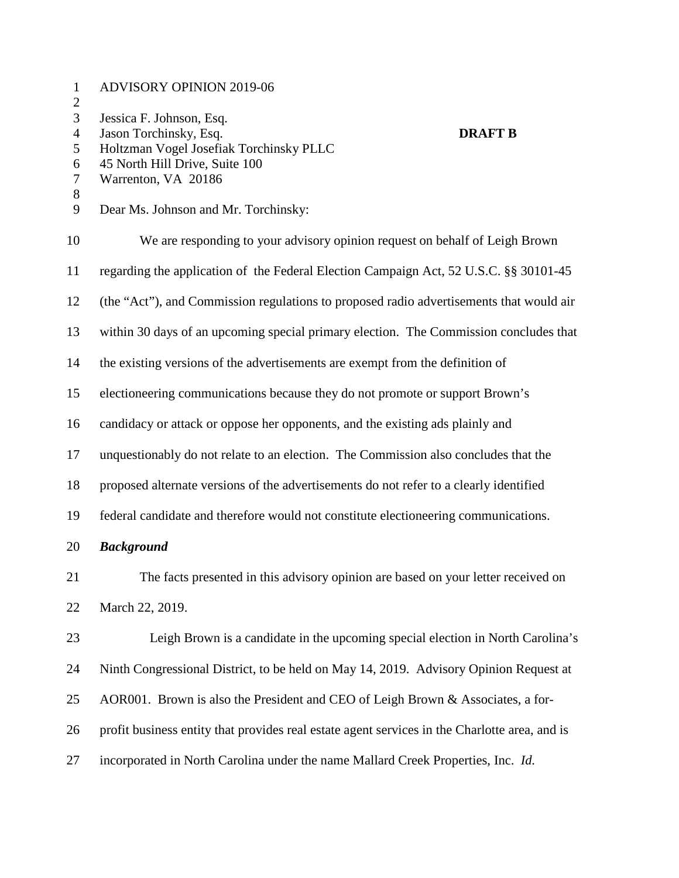| $\mathbf{1}$<br>$\overline{c}$                  | <b>ADVISORY OPINION 2019-06</b>                                                                                                                                          |
|-------------------------------------------------|--------------------------------------------------------------------------------------------------------------------------------------------------------------------------|
| 3<br>$\overline{4}$<br>5<br>6<br>$\overline{7}$ | Jessica F. Johnson, Esq.<br>Jason Torchinsky, Esq.<br><b>DRAFT B</b><br>Holtzman Vogel Josefiak Torchinsky PLLC<br>45 North Hill Drive, Suite 100<br>Warrenton, VA 20186 |
| $8\,$<br>9                                      | Dear Ms. Johnson and Mr. Torchinsky:                                                                                                                                     |
| 10                                              | We are responding to your advisory opinion request on behalf of Leigh Brown                                                                                              |
| 11                                              | regarding the application of the Federal Election Campaign Act, 52 U.S.C. §§ 30101-45                                                                                    |
| 12                                              | (the "Act"), and Commission regulations to proposed radio advertisements that would air                                                                                  |
| 13                                              | within 30 days of an upcoming special primary election. The Commission concludes that                                                                                    |
| 14                                              | the existing versions of the advertisements are exempt from the definition of                                                                                            |
| 15                                              | electioneering communications because they do not promote or support Brown's                                                                                             |
| 16                                              | candidacy or attack or oppose her opponents, and the existing ads plainly and                                                                                            |
| 17                                              | unquestionably do not relate to an election. The Commission also concludes that the                                                                                      |
| 18                                              | proposed alternate versions of the advertisements do not refer to a clearly identified                                                                                   |
| 19                                              | federal candidate and therefore would not constitute electioneering communications.                                                                                      |
| 20                                              | <b>Background</b>                                                                                                                                                        |
| 21                                              | The facts presented in this advisory opinion are based on your letter received on                                                                                        |
| 22                                              | March 22, 2019.                                                                                                                                                          |
| 23                                              | Leigh Brown is a candidate in the upcoming special election in North Carolina's                                                                                          |
| 24                                              | Ninth Congressional District, to be held on May 14, 2019. Advisory Opinion Request at                                                                                    |
| 25                                              | AOR001. Brown is also the President and CEO of Leigh Brown & Associates, a for-                                                                                          |
| 26                                              | profit business entity that provides real estate agent services in the Charlotte area, and is                                                                            |
| 27                                              | incorporated in North Carolina under the name Mallard Creek Properties, Inc. Id.                                                                                         |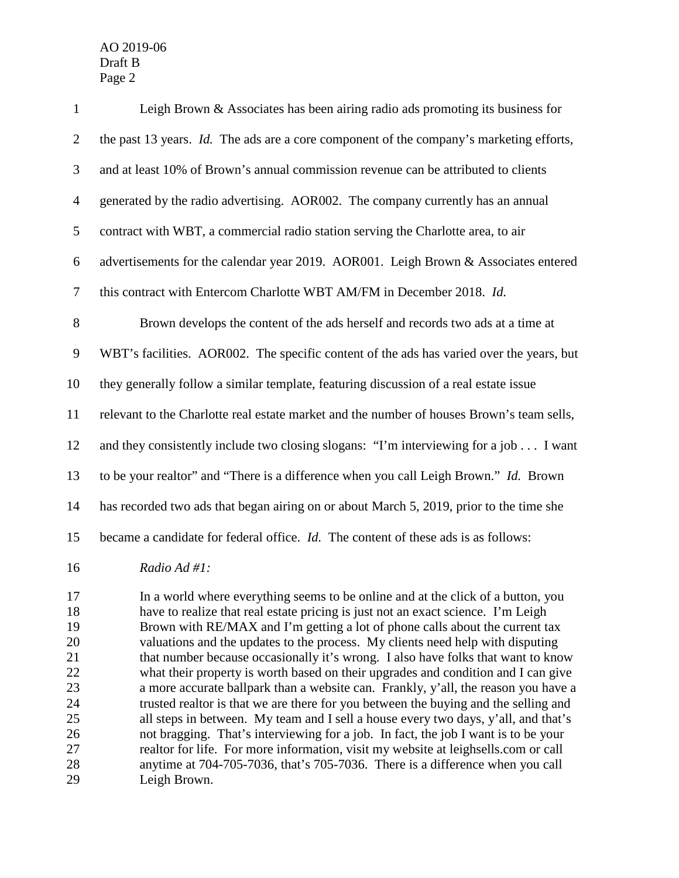| $\mathbf{1}$   | Leigh Brown $\&$ Associates has been airing radio ads promoting its business for           |
|----------------|--------------------------------------------------------------------------------------------|
| $\overline{2}$ | the past 13 years. Id. The ads are a core component of the company's marketing efforts,    |
| 3              | and at least 10% of Brown's annual commission revenue can be attributed to clients         |
| $\overline{4}$ | generated by the radio advertising. AOR002. The company currently has an annual            |
| 5              | contract with WBT, a commercial radio station serving the Charlotte area, to air           |
| 6              | advertisements for the calendar year 2019. AOR001. Leigh Brown & Associates entered        |
| $\tau$         | this contract with Entercom Charlotte WBT AM/FM in December 2018. Id.                      |
| 8              | Brown develops the content of the ads herself and records two ads at a time at             |
| $\mathbf{9}$   | WBT's facilities. AOR002. The specific content of the ads has varied over the years, but   |
| 10             | they generally follow a similar template, featuring discussion of a real estate issue      |
| 11             | relevant to the Charlotte real estate market and the number of houses Brown's team sells,  |
| 12             | and they consistently include two closing slogans: "I'm interviewing for a job I want      |
| 13             | to be your realtor" and "There is a difference when you call Leigh Brown." Id. Brown       |
| 14             | has recorded two ads that began airing on or about March 5, 2019, prior to the time she    |
| 15             | became a candidate for federal office. <i>Id</i> . The content of these ads is as follows: |
| 16             | Radio Ad #1:                                                                               |

 In a world where everything seems to be online and at the click of a button, you have to realize that real estate pricing is just not an exact science. I'm Leigh Brown with RE/MAX and I'm getting a lot of phone calls about the current tax valuations and the updates to the process. My clients need help with disputing 21 that number because occasionally it's wrong. I also have folks that want to know<br>22 what their property is worth based on their upgrades and condition and I can give what their property is worth based on their upgrades and condition and I can give 23 a more accurate ballpark than a website can. Frankly, y'all, the reason you have a trusted realtor is that we are there for you between the buving and the selling and trusted realtor is that we are there for you between the buying and the selling and all steps in between. My team and I sell a house every two days, y'all, and that's not bragging. That's interviewing for a job. In fact, the job I want is to be your realtor for life. For more information, visit my website at leighsells.com or call anytime at 704-705-7036, that's 705-7036. There is a difference when you call Leigh Brown.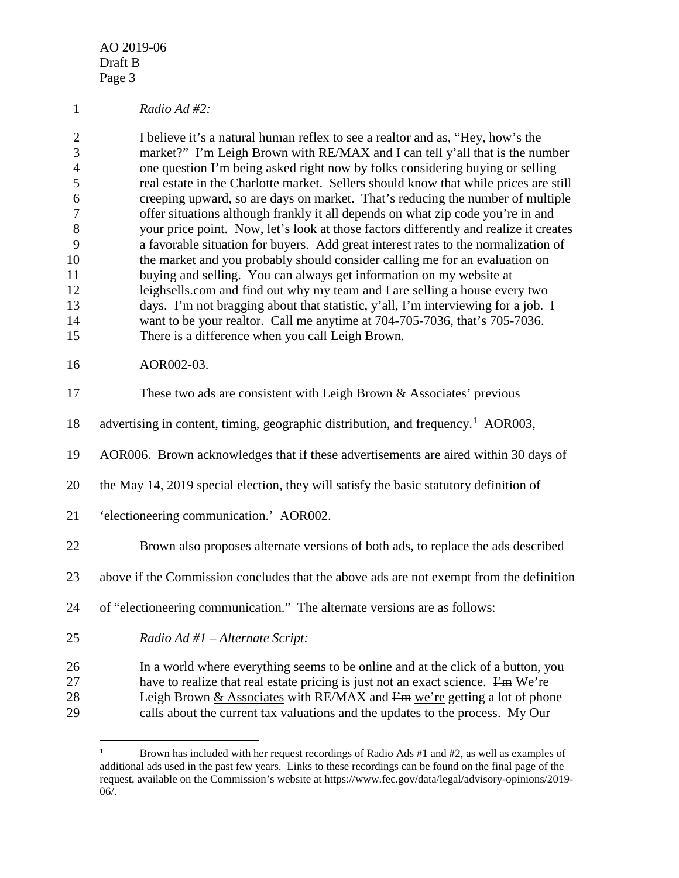## *Radio Ad #2:*

 I believe it's a natural human reflex to see a realtor and as, "Hey, how's the market?" I'm Leigh Brown with RE/MAX and I can tell y'all that is the number one question I'm being asked right now by folks considering buying or selling real estate in the Charlotte market. Sellers should know that while prices are still creeping upward, so are days on market. That's reducing the number of multiple offer situations although frankly it all depends on what zip code you're in and your price point. Now, let's look at those factors differently and realize it creates a favorable situation for buyers. Add great interest rates to the normalization of the market and you probably should consider calling me for an evaluation on buying and selling. You can always get information on my website at leighsells.com and find out why my team and I are selling a house every two days. I'm not bragging about that statistic, y'all, I'm interviewing for a job. I want to be your realtor. Call me anytime at 704-705-7036, that's 705-7036. There is a difference when you call Leigh Brown.

## AOR002-03.

| 17 | These two ads are consistent with Leigh Brown & Associates' previous                         |
|----|----------------------------------------------------------------------------------------------|
| 18 | advertising in content, timing, geographic distribution, and frequency. <sup>1</sup> AOR003, |
| 19 | AOR006. Brown acknowledges that if these advertisements are aired within 30 days of          |
| 20 | the May 14, 2019 special election, they will satisfy the basic statutory definition of       |
| 21 | 'electioneering communication.' AOR002.                                                      |
| 22 | Brown also proposes alternate versions of both ads, to replace the ads described             |
| 23 | above if the Commission concludes that the above ads are not exempt from the definition      |
| 24 | of "electioneering communication." The alternate versions are as follows:                    |
| 25 | Radio Ad #1 - Alternate Script:                                                              |
| 26 | In a world where everything seems to be online and at the click of a button, you             |
| 27 | have to realize that real estate pricing is just not an exact science. $\vec{F}$ m We're     |
| 28 | Leigh Brown $&$ Associates with RE/MAX and $F2$ m we're getting a lot of phone               |

<span id="page-3-0"></span>29 calls about the current tax valuations and the updates to the process. My Our

<sup>&</sup>lt;sup>1</sup> Brown has included with her request recordings of Radio Ads  $#1$  and  $#2$ , as well as examples of additional ads used in the past few years. Links to these recordings can be found on the final page of the request, available on the Commission's website at https://www.fec.gov/data/legal/advisory-opinions/2019- 06/.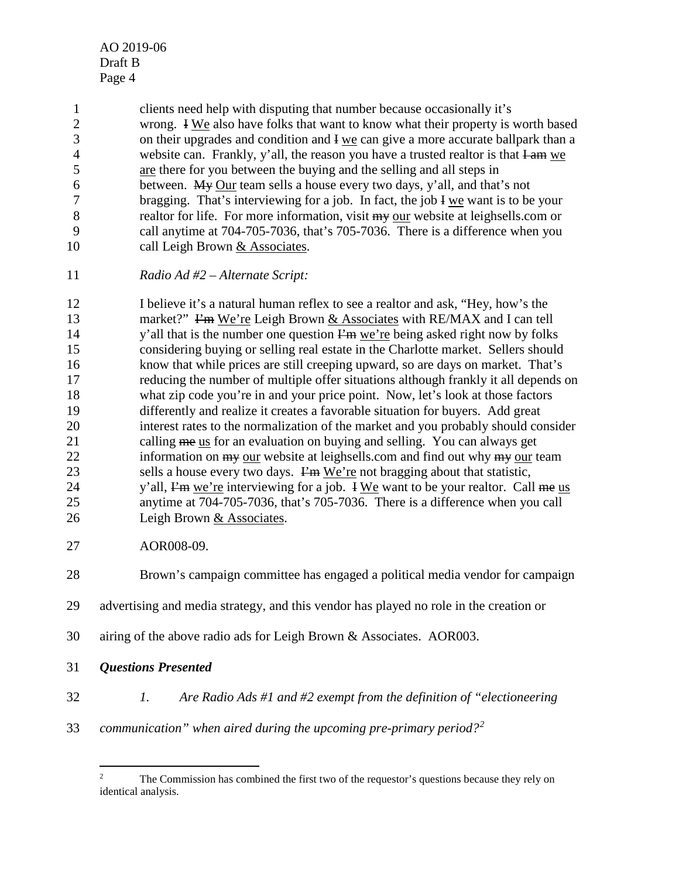1 clients need help with disputing that number because occasionally it's<br>2 wrong. I We also have folks that want to know what their property is v wrong. I We also have folks that want to know what their property is worth based on their upgrades and condition and I we can give a more accurate ballpark than a 4 website can. Frankly, y'all, the reason you have a trusted realtor is that I am we are there for you between the buying and the selling and all steps in between. My Our team sells a house every two days, y'all, and that's not bragging. That's interviewing for a job. In fact, the job I we want is to be your realtor for life. For more information, visit my our website at leighsells.com or call anytime at 704-705-7036, that's 705-7036. There is a difference when you 10 call Leigh Brown & Associates.

*Radio Ad #2 – Alternate Script:*

 I believe it's a natural human reflex to see a realtor and ask, "Hey, how's the 13 market?" I'm We're Leigh Brown & Associates with RE/MAX and I can tell 14 y'all that is the number one question  $\vec{F}$  we're being asked right now by folks considering buying or selling real estate in the Charlotte market. Sellers should know that while prices are still creeping upward, so are days on market. That's reducing the number of multiple offer situations although frankly it all depends on what zip code you're in and your price point. Now, let's look at those factors differently and realize it creates a favorable situation for buyers. Add great interest rates to the normalization of the market and you probably should consider 21 calling me us for an evaluation on buying and selling. You can always get 22 information on  $\frac{m}{v}$  our website at leighsells.com and find out why  $\frac{m}{v}$  our team 23 sells a house every two days.  $\vec{F}$  We're not bragging about that statistic, 24 y'all,  $\lim_{x \to a}$  we're interviewing for a job. I We want to be your realtor. Call me us anytime at 704-705-7036, that's 705-7036. There is a difference when you call Leigh Brown & Associates.

AOR008-09.

Brown's campaign committee has engaged a political media vendor for campaign

- advertising and media strategy, and this vendor has played no role in the creation or
- airing of the above radio ads for Leigh Brown & Associates. AOR003.
- *Questions Presented*
- *1. Are Radio Ads #1 and #2 exempt from the definition of "electioneering*
- <span id="page-4-0"></span>*communication" when aired during the upcoming pre-primary period?[2](#page-4-0)*

<sup>&</sup>lt;sup>2</sup> The Commission has combined the first two of the requestor's questions because they rely on identical analysis.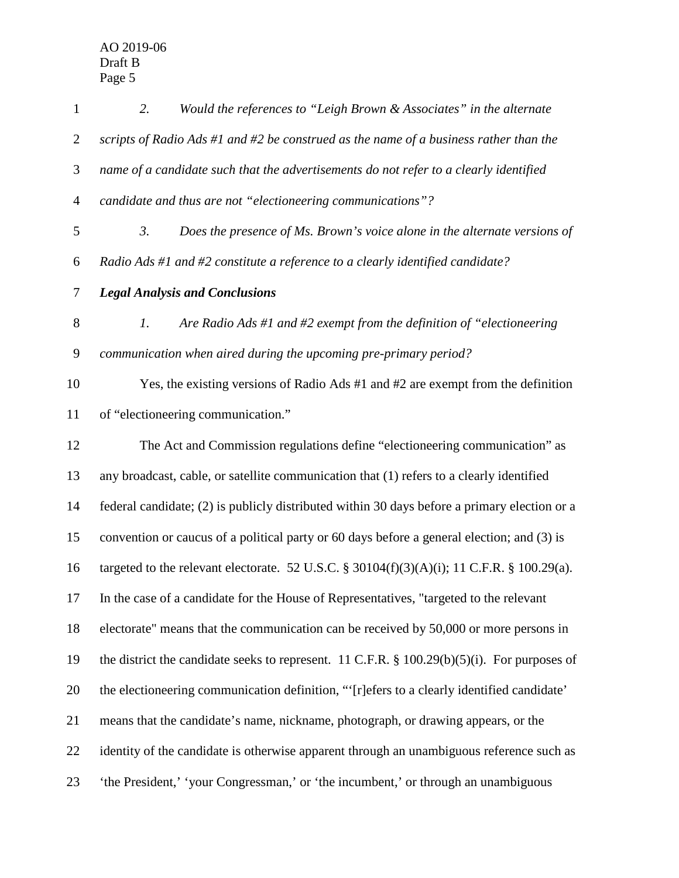| $\mathbf{1}$   | Would the references to "Leigh Brown & Associates" in the alternate<br>2.                    |
|----------------|----------------------------------------------------------------------------------------------|
| $\overline{2}$ | scripts of Radio Ads #1 and #2 be construed as the name of a business rather than the        |
| 3              | name of a candidate such that the advertisements do not refer to a clearly identified        |
| $\overline{4}$ | candidate and thus are not "electioneering communications"?                                  |
| 5              | 3.<br>Does the presence of Ms. Brown's voice alone in the alternate versions of              |
| 6              | Radio Ads #1 and #2 constitute a reference to a clearly identified candidate?                |
| $\tau$         | <b>Legal Analysis and Conclusions</b>                                                        |
| $8\,$          | Are Radio Ads #1 and #2 exempt from the definition of "electioneering"<br>1.                 |
| $\mathbf{9}$   | communication when aired during the upcoming pre-primary period?                             |
| 10             | Yes, the existing versions of Radio Ads #1 and #2 are exempt from the definition             |
| 11             | of "electioneering communication."                                                           |
| 12             | The Act and Commission regulations define "electioneering communication" as                  |
| 13             | any broadcast, cable, or satellite communication that (1) refers to a clearly identified     |
| 14             | federal candidate; (2) is publicly distributed within 30 days before a primary election or a |
| 15             | convention or caucus of a political party or 60 days before a general election; and (3) is   |
| 16             | targeted to the relevant electorate. 52 U.S.C. § 30104(f)(3)(A)(i); 11 C.F.R. § 100.29(a).   |
| 17             | In the case of a candidate for the House of Representatives, "targeted to the relevant       |
| 18             | electorate" means that the communication can be received by 50,000 or more persons in        |
| 19             | the district the candidate seeks to represent. 11 C.F.R. § 100.29(b)(5)(i). For purposes of  |
| 20             | the electioneering communication definition, "'[r]efers to a clearly identified candidate'   |
| 21             | means that the candidate's name, nickname, photograph, or drawing appears, or the            |
| 22             | identity of the candidate is otherwise apparent through an unambiguous reference such as     |
| 23             | 'the President,' 'your Congressman,' or 'the incumbent,' or through an unambiguous           |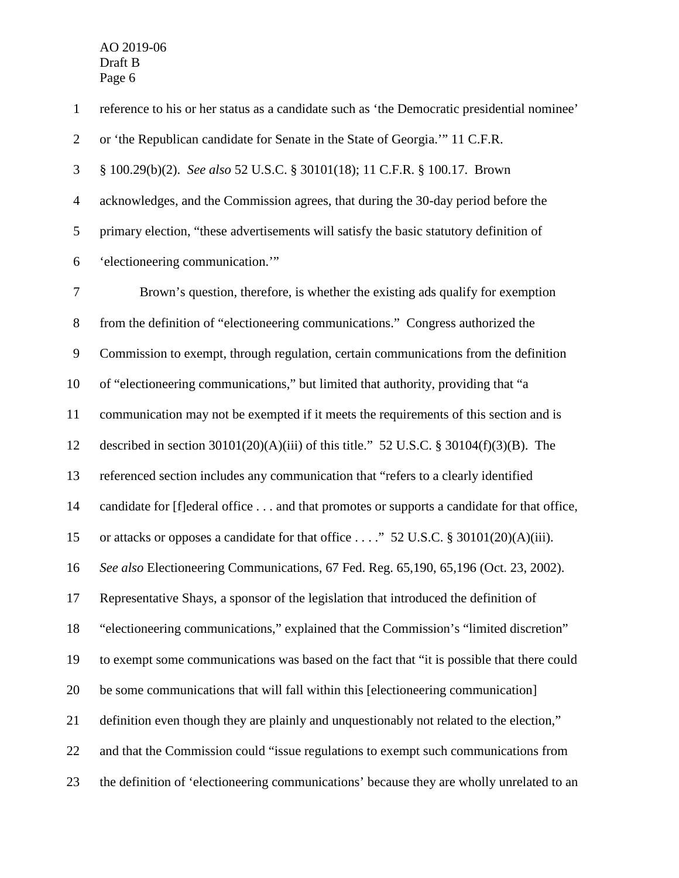reference to his or her status as a candidate such as 'the Democratic presidential nominee' or 'the Republican candidate for Senate in the State of Georgia.'" 11 C.F.R. § 100.29(b)(2). *See also* 52 U.S.C. § 30101(18); 11 C.F.R. § 100.17. Brown acknowledges, and the Commission agrees, that during the 30-day period before the primary election, "these advertisements will satisfy the basic statutory definition of 'electioneering communication.'" Brown's question, therefore, is whether the existing ads qualify for exemption from the definition of "electioneering communications." Congress authorized the Commission to exempt, through regulation, certain communications from the definition of "electioneering communications," but limited that authority, providing that "a communication may not be exempted if it meets the requirements of this section and is described in section 30101(20)(A)(iii) of this title." 52 U.S.C. § 30104(f)(3)(B). The referenced section includes any communication that "refers to a clearly identified candidate for [f]ederal office . . . and that promotes or supports a candidate for that office, or attacks or opposes a candidate for that office . . . ." 52 U.S.C. § 30101(20)(A)(iii). *See also* Electioneering Communications, 67 Fed. Reg. 65,190, 65,196 (Oct. 23, 2002). Representative Shays, a sponsor of the legislation that introduced the definition of "electioneering communications," explained that the Commission's "limited discretion" to exempt some communications was based on the fact that "it is possible that there could be some communications that will fall within this [electioneering communication] definition even though they are plainly and unquestionably not related to the election," and that the Commission could "issue regulations to exempt such communications from the definition of 'electioneering communications' because they are wholly unrelated to an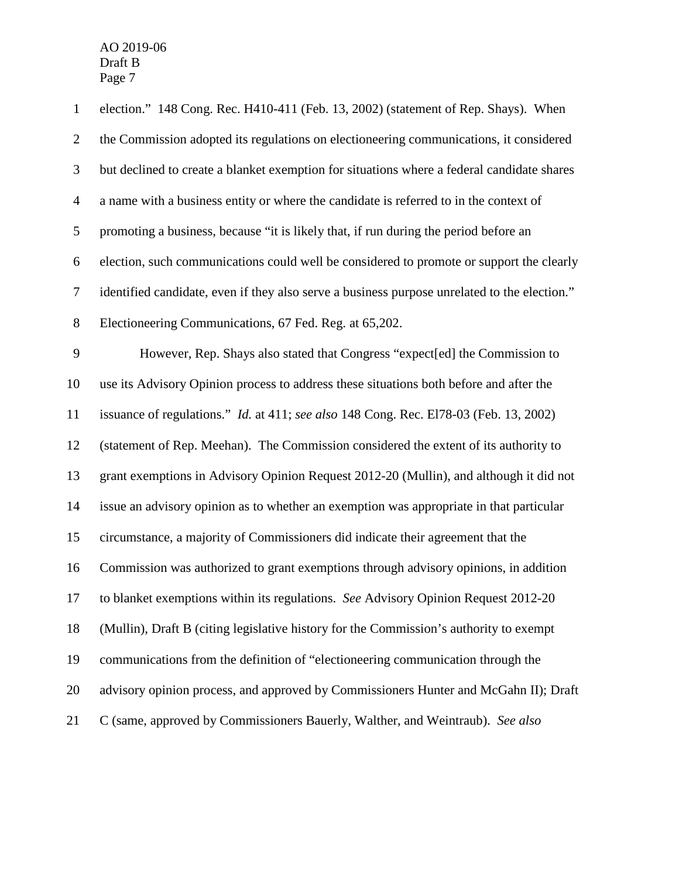| $\mathbf{1}$   | election." 148 Cong. Rec. H410-411 (Feb. 13, 2002) (statement of Rep. Shays). When           |
|----------------|----------------------------------------------------------------------------------------------|
| $\overline{2}$ | the Commission adopted its regulations on electioneering communications, it considered       |
| 3              | but declined to create a blanket exemption for situations where a federal candidate shares   |
| $\overline{4}$ | a name with a business entity or where the candidate is referred to in the context of        |
| $\sqrt{5}$     | promoting a business, because "it is likely that, if run during the period before an         |
| 6              | election, such communications could well be considered to promote or support the clearly     |
| $\tau$         | identified candidate, even if they also serve a business purpose unrelated to the election." |
| $8\,$          | Electioneering Communications, 67 Fed. Reg. at 65,202.                                       |
| $\mathbf{9}$   | However, Rep. Shays also stated that Congress "expect[ed] the Commission to                  |
| 10             | use its Advisory Opinion process to address these situations both before and after the       |
| 11             | issuance of regulations." <i>Id.</i> at 411; see also 148 Cong. Rec. E178-03 (Feb. 13, 2002) |
| 12             | (statement of Rep. Meehan). The Commission considered the extent of its authority to         |
| 13             | grant exemptions in Advisory Opinion Request 2012-20 (Mullin), and although it did not       |
| 14             | issue an advisory opinion as to whether an exemption was appropriate in that particular      |
| 15             | circumstance, a majority of Commissioners did indicate their agreement that the              |
| 16             | Commission was authorized to grant exemptions through advisory opinions, in addition         |
| 17             | to blanket exemptions within its regulations. See Advisory Opinion Request 2012-20           |
| 18             | (Mullin), Draft B (citing legislative history for the Commission's authority to exempt       |
| 19             | communications from the definition of "electioneering communication through the              |
| 20             | advisory opinion process, and approved by Commissioners Hunter and McGahn II); Draft         |
| 21             | C (same, approved by Commissioners Bauerly, Walther, and Weintraub). See also                |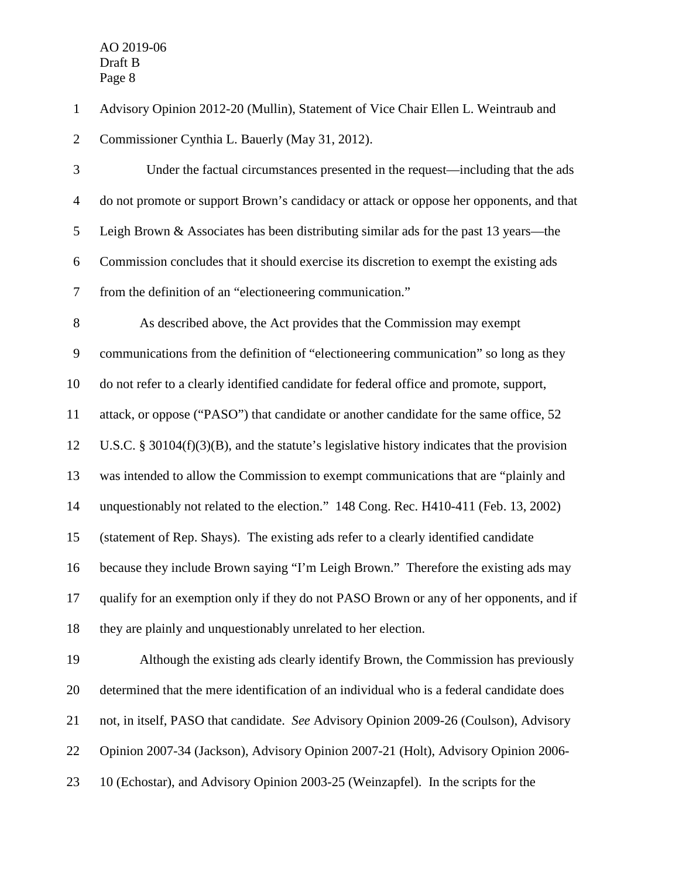Advisory Opinion 2012-20 (Mullin), Statement of Vice Chair Ellen L. Weintraub and

Commissioner Cynthia L. Bauerly (May 31, 2012).

3 Under the factual circumstances presented in the request—including that the ads do not promote or support Brown's candidacy or attack or oppose her opponents, and that Leigh Brown & Associates has been distributing similar ads for the past 13 years—the Commission concludes that it should exercise its discretion to exempt the existing ads from the definition of an "electioneering communication." As described above, the Act provides that the Commission may exempt

communications from the definition of "electioneering communication" so long as they

do not refer to a clearly identified candidate for federal office and promote, support,

attack, or oppose ("PASO") that candidate or another candidate for the same office, 52

U.S.C. § 30104(f)(3)(B), and the statute's legislative history indicates that the provision

was intended to allow the Commission to exempt communications that are "plainly and

unquestionably not related to the election." 148 Cong. Rec. H410-411 (Feb. 13, 2002)

(statement of Rep. Shays). The existing ads refer to a clearly identified candidate

 because they include Brown saying "I'm Leigh Brown." Therefore the existing ads may qualify for an exemption only if they do not PASO Brown or any of her opponents, and if

they are plainly and unquestionably unrelated to her election.

 Although the existing ads clearly identify Brown, the Commission has previously determined that the mere identification of an individual who is a federal candidate does not, in itself, PASO that candidate. *See* Advisory Opinion 2009-26 (Coulson), Advisory Opinion 2007-34 (Jackson), Advisory Opinion 2007-21 (Holt), Advisory Opinion 2006- 10 (Echostar), and Advisory Opinion 2003-25 (Weinzapfel). In the scripts for the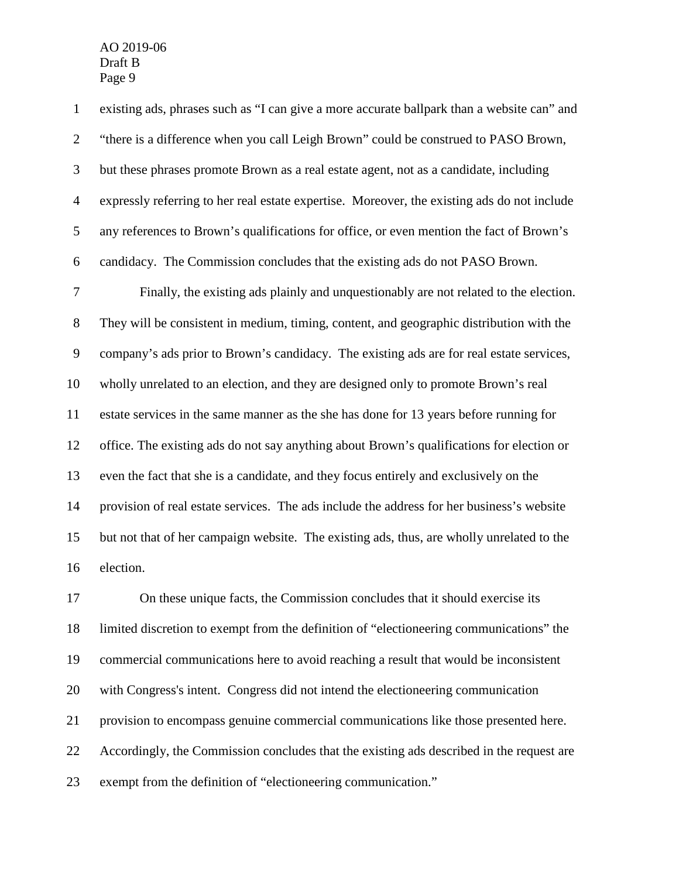existing ads, phrases such as "I can give a more accurate ballpark than a website can" and "there is a difference when you call Leigh Brown" could be construed to PASO Brown, but these phrases promote Brown as a real estate agent, not as a candidate, including expressly referring to her real estate expertise. Moreover, the existing ads do not include any references to Brown's qualifications for office, or even mention the fact of Brown's candidacy. The Commission concludes that the existing ads do not PASO Brown. Finally, the existing ads plainly and unquestionably are not related to the election. They will be consistent in medium, timing, content, and geographic distribution with the company's ads prior to Brown's candidacy. The existing ads are for real estate services, wholly unrelated to an election, and they are designed only to promote Brown's real estate services in the same manner as the she has done for 13 years before running for office. The existing ads do not say anything about Brown's qualifications for election or even the fact that she is a candidate, and they focus entirely and exclusively on the provision of real estate services. The ads include the address for her business's website but not that of her campaign website. The existing ads, thus, are wholly unrelated to the election.

 On these unique facts, the Commission concludes that it should exercise its limited discretion to exempt from the definition of "electioneering communications" the commercial communications here to avoid reaching a result that would be inconsistent with Congress's intent. Congress did not intend the electioneering communication provision to encompass genuine commercial communications like those presented here. Accordingly, the Commission concludes that the existing ads described in the request are exempt from the definition of "electioneering communication."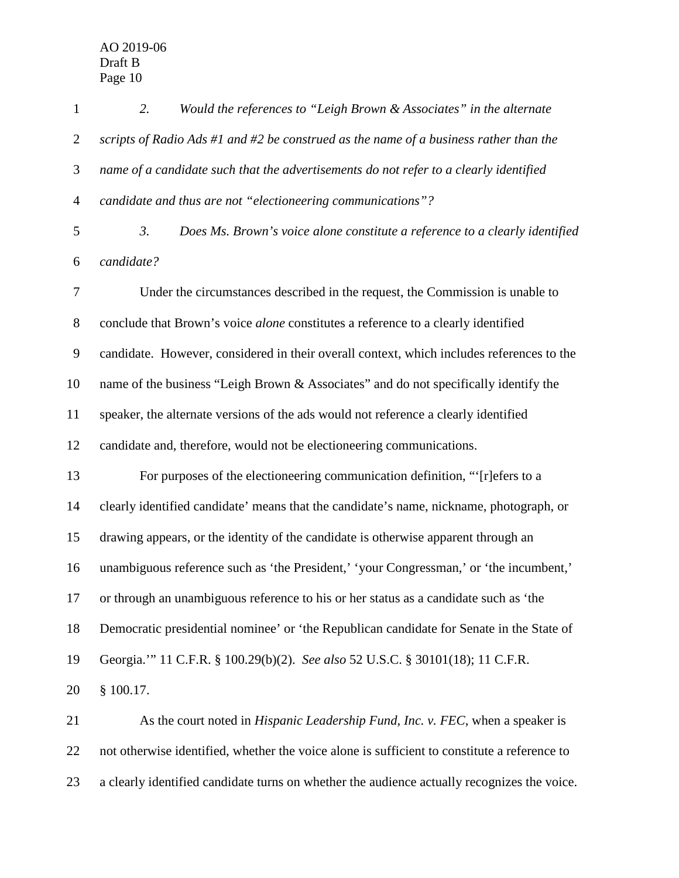*2. Would the references to "Leigh Brown & Associates" in the alternate scripts of Radio Ads #1 and #2 be construed as the name of a business rather than the name of a candidate such that the advertisements do not refer to a clearly identified candidate and thus are not "electioneering communications"? 3. Does Ms. Brown's voice alone constitute a reference to a clearly identified candidate?* Under the circumstances described in the request, the Commission is unable to conclude that Brown's voice *alone* constitutes a reference to a clearly identified candidate. However, considered in their overall context, which includes references to the name of the business "Leigh Brown & Associates" and do not specifically identify the speaker, the alternate versions of the ads would not reference a clearly identified candidate and, therefore, would not be electioneering communications. For purposes of the electioneering communication definition, "'[r]efers to a clearly identified candidate' means that the candidate's name, nickname, photograph, or drawing appears, or the identity of the candidate is otherwise apparent through an unambiguous reference such as 'the President,' 'your Congressman,' or 'the incumbent,' or through an unambiguous reference to his or her status as a candidate such as 'the Democratic presidential nominee' or 'the Republican candidate for Senate in the State of Georgia.'" 11 C.F.R. § 100.29(b)(2). *See also* 52 U.S.C. § 30101(18); 11 C.F.R. § 100.17. As the court noted in *Hispanic Leadership Fund, Inc. v. FEC*, when a speaker is not otherwise identified, whether the voice alone is sufficient to constitute a reference to

a clearly identified candidate turns on whether the audience actually recognizes the voice.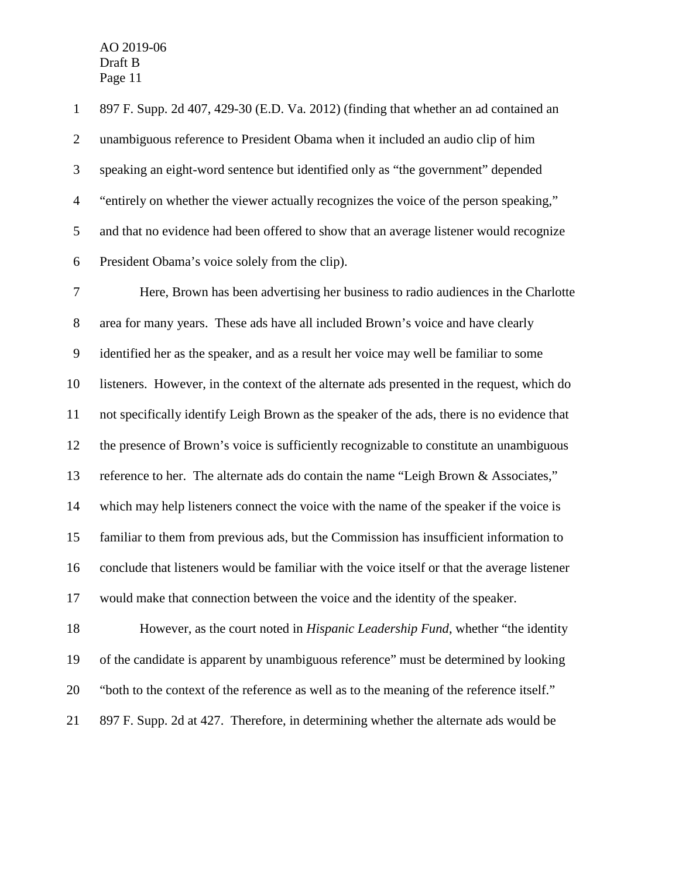897 F. Supp. 2d 407, 429-30 (E.D. Va. 2012) (finding that whether an ad contained an unambiguous reference to President Obama when it included an audio clip of him speaking an eight-word sentence but identified only as "the government" depended "entirely on whether the viewer actually recognizes the voice of the person speaking," and that no evidence had been offered to show that an average listener would recognize President Obama's voice solely from the clip).

 Here, Brown has been advertising her business to radio audiences in the Charlotte area for many years. These ads have all included Brown's voice and have clearly identified her as the speaker, and as a result her voice may well be familiar to some listeners. However, in the context of the alternate ads presented in the request, which do not specifically identify Leigh Brown as the speaker of the ads, there is no evidence that the presence of Brown's voice is sufficiently recognizable to constitute an unambiguous reference to her. The alternate ads do contain the name "Leigh Brown & Associates," which may help listeners connect the voice with the name of the speaker if the voice is familiar to them from previous ads, but the Commission has insufficient information to conclude that listeners would be familiar with the voice itself or that the average listener would make that connection between the voice and the identity of the speaker. However, as the court noted in *Hispanic Leadership Fund*, whether "the identity of the candidate is apparent by unambiguous reference" must be determined by looking

"both to the context of the reference as well as to the meaning of the reference itself."

897 F. Supp. 2d at 427. Therefore, in determining whether the alternate ads would be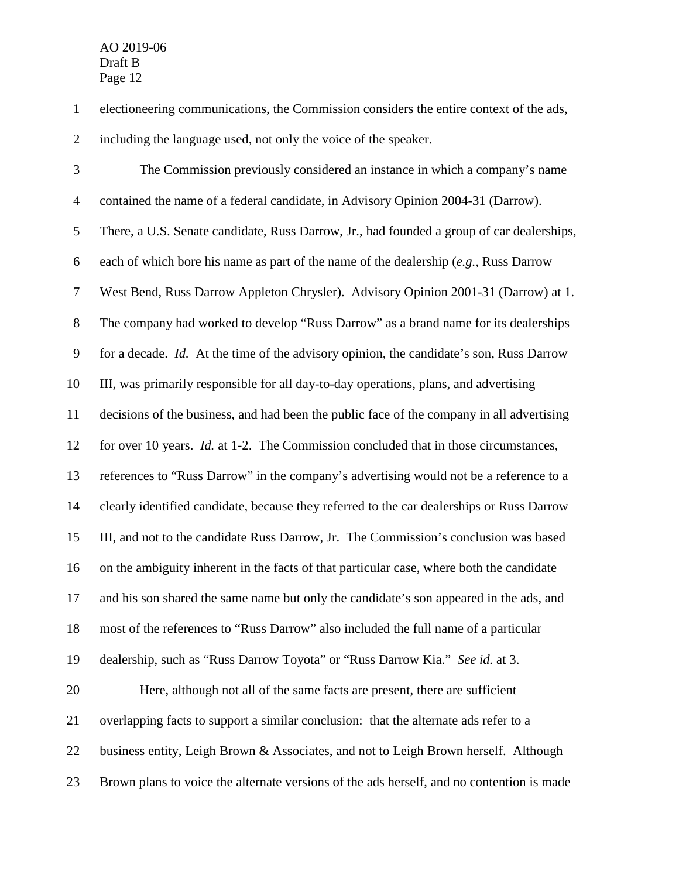electioneering communications, the Commission considers the entire context of the ads, including the language used, not only the voice of the speaker.

 The Commission previously considered an instance in which a company's name contained the name of a federal candidate, in Advisory Opinion 2004-31 (Darrow). There, a U.S. Senate candidate, Russ Darrow, Jr., had founded a group of car dealerships, each of which bore his name as part of the name of the dealership (*e.g.*, Russ Darrow West Bend, Russ Darrow Appleton Chrysler). Advisory Opinion 2001-31 (Darrow) at 1. The company had worked to develop "Russ Darrow" as a brand name for its dealerships for a decade. *Id.* At the time of the advisory opinion, the candidate's son, Russ Darrow III, was primarily responsible for all day-to-day operations, plans, and advertising decisions of the business, and had been the public face of the company in all advertising for over 10 years. *Id.* at 1-2. The Commission concluded that in those circumstances, references to "Russ Darrow" in the company's advertising would not be a reference to a clearly identified candidate, because they referred to the car dealerships or Russ Darrow III, and not to the candidate Russ Darrow, Jr. The Commission's conclusion was based on the ambiguity inherent in the facts of that particular case, where both the candidate and his son shared the same name but only the candidate's son appeared in the ads, and most of the references to "Russ Darrow" also included the full name of a particular dealership, such as "Russ Darrow Toyota" or "Russ Darrow Kia." *See id.* at 3. Here, although not all of the same facts are present, there are sufficient overlapping facts to support a similar conclusion: that the alternate ads refer to a 22 business entity, Leigh Brown & Associates, and not to Leigh Brown herself. Although

Brown plans to voice the alternate versions of the ads herself, and no contention is made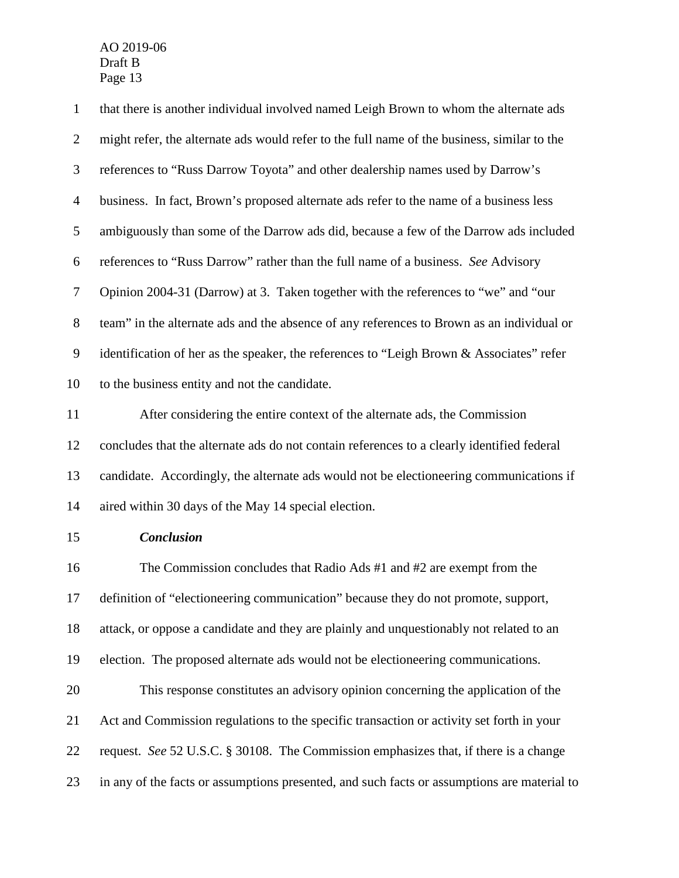| $\mathbf{1}$   | that there is another individual involved named Leigh Brown to whom the alternate ads       |
|----------------|---------------------------------------------------------------------------------------------|
| $\overline{2}$ | might refer, the alternate ads would refer to the full name of the business, similar to the |
| 3              | references to "Russ Darrow Toyota" and other dealership names used by Darrow's              |
| $\overline{4}$ | business. In fact, Brown's proposed alternate ads refer to the name of a business less      |
| 5              | ambiguously than some of the Darrow ads did, because a few of the Darrow ads included       |
| 6              | references to "Russ Darrow" rather than the full name of a business. See Advisory           |
| $\tau$         | Opinion 2004-31 (Darrow) at 3. Taken together with the references to "we" and "our          |
| $8\,$          | team" in the alternate ads and the absence of any references to Brown as an individual or   |
| $\mathbf{9}$   | identification of her as the speaker, the references to "Leigh Brown & Associates" refer    |
| 10             | to the business entity and not the candidate.                                               |
| 11             | After considering the entire context of the alternate ads, the Commission                   |
| 12             | concludes that the alternate ads do not contain references to a clearly identified federal  |
| 13             | candidate. Accordingly, the alternate ads would not be electioneering communications if     |
| 14             | aired within 30 days of the May 14 special election.                                        |
| 15             | <b>Conclusion</b>                                                                           |
| 16             | The Commission concludes that Radio Ads #1 and #2 are exempt from the                       |
| 17             | definition of "electioneering communication" because they do not promote, support,          |
| 18             | attack, or oppose a candidate and they are plainly and unquestionably not related to an     |
| 19             | election. The proposed alternate ads would not be electioneering communications.            |
| 20             | This response constitutes an advisory opinion concerning the application of the             |
| 21             | Act and Commission regulations to the specific transaction or activity set forth in your    |
| 22             | request. See 52 U.S.C. § 30108. The Commission emphasizes that, if there is a change        |
| 23             | in any of the facts or assumptions presented, and such facts or assumptions are material to |